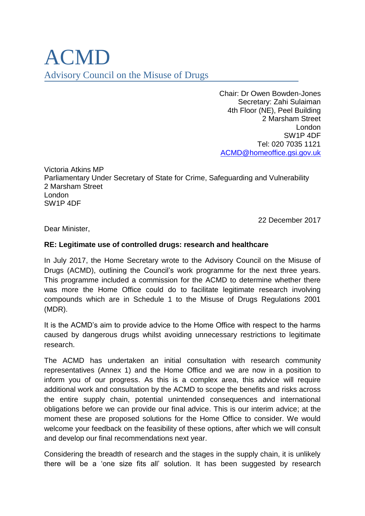# ACMD Advisory Council on the Misuse of Drugs

Chair: Dr Owen Bowden-Jones Secretary: Zahi Sulaiman 4th Floor (NE), Peel Building 2 Marsham Street London SW1P 4DF Tel: 020 7035 1121 [ACMD@homeoffice.gsi.gov.uk](mailto:ACMD@homeoffice.gsi.gov.uk) 

Victoria Atkins MP Parliamentary Under Secretary of State for Crime, Safeguarding and Vulnerability 2 Marsham Street London SW1P 4DF

22 December 2017

Dear Minister,

### **RE: Legitimate use of controlled drugs: research and healthcare**

In July 2017, the Home Secretary wrote to the Advisory Council on the Misuse of Drugs (ACMD), outlining the Council's work programme for the next three years. This programme included a commission for the ACMD to determine whether there was more the Home Office could do to facilitate legitimate research involving compounds which are in Schedule 1 to the Misuse of Drugs Regulations 2001 (MDR).

It is the ACMD's aim to provide advice to the Home Office with respect to the harms caused by dangerous drugs whilst avoiding unnecessary restrictions to legitimate research.

The ACMD has undertaken an initial consultation with research community representatives (Annex 1) and the Home Office and we are now in a position to inform you of our progress. As this is a complex area, this advice will require additional work and consultation by the ACMD to scope the benefits and risks across the entire supply chain, potential unintended consequences and international obligations before we can provide our final advice. This is our interim advice; at the moment these are proposed solutions for the Home Office to consider. We would welcome your feedback on the feasibility of these options, after which we will consult and develop our final recommendations next year.

Considering the breadth of research and the stages in the supply chain, it is unlikely there will be a 'one size fits all' solution. It has been suggested by research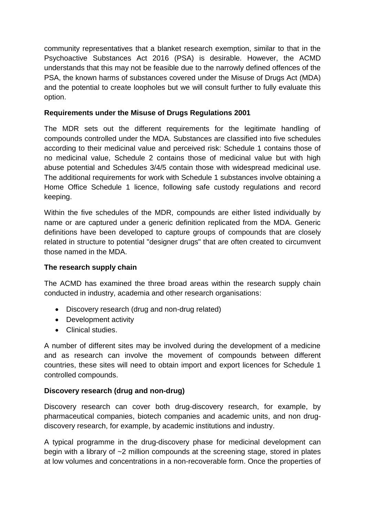community representatives that a blanket research exemption, similar to that in the Psychoactive Substances Act 2016 (PSA) is desirable. However, the ACMD understands that this may not be feasible due to the narrowly defined offences of the PSA, the known harms of substances covered under the Misuse of Drugs Act (MDA) and the potential to create loopholes but we will consult further to fully evaluate this option.

# **Requirements under the Misuse of Drugs Regulations 2001**

The MDR sets out the different requirements for the legitimate handling of compounds controlled under the MDA. Substances are classified into five schedules according to their medicinal value and perceived risk: Schedule 1 contains those of no medicinal value, Schedule 2 contains those of medicinal value but with high abuse potential and Schedules 3/4/5 contain those with widespread medicinal use. The additional requirements for work with Schedule 1 substances involve obtaining a Home Office Schedule 1 licence, following safe custody regulations and record keeping.

Within the five schedules of the MDR, compounds are either listed individually by name or are captured under a generic definition replicated from the MDA. Generic definitions have been developed to capture groups of compounds that are closely related in structure to potential "designer drugs" that are often created to circumvent those named in the MDA.

# **The research supply chain**

The ACMD has examined the three broad areas within the research supply chain conducted in industry, academia and other research organisations:

- Discovery research (drug and non-drug related)
- Development activity
- Clinical studies.

A number of different sites may be involved during the development of a medicine and as research can involve the movement of compounds between different countries, these sites will need to obtain import and export licences for Schedule 1 controlled compounds.

# **Discovery research (drug and non-drug)**

Discovery research can cover both drug-discovery research, for example, by pharmaceutical companies, biotech companies and academic units, and non drugdiscovery research, for example, by academic institutions and industry.

A typical programme in the drug-discovery phase for medicinal development can begin with a library of ~2 million compounds at the screening stage, stored in plates at low volumes and concentrations in a non-recoverable form. Once the properties of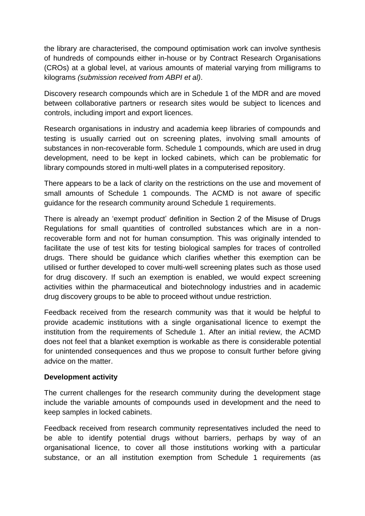the library are characterised, the compound optimisation work can involve synthesis of hundreds of compounds either in-house or by Contract Research Organisations (CROs) at a global level, at various amounts of material varying from milligrams to kilograms *(submission received from ABPI et al)*.

Discovery research compounds which are in Schedule 1 of the MDR and are moved between collaborative partners or research sites would be subject to licences and controls, including import and export licences.

Research organisations in industry and academia keep libraries of compounds and testing is usually carried out on screening plates, involving small amounts of substances in non-recoverable form. Schedule 1 compounds, which are used in drug development, need to be kept in locked cabinets, which can be problematic for library compounds stored in multi-well plates in a computerised repository.

There appears to be a lack of clarity on the restrictions on the use and movement of small amounts of Schedule 1 compounds. The ACMD is not aware of specific guidance for the research community around Schedule 1 requirements.

There is already an 'exempt product' definition in Section 2 of the Misuse of Drugs Regulations for small quantities of controlled substances which are in a nonrecoverable form and not for human consumption. This was originally intended to facilitate the use of test kits for testing biological samples for traces of controlled drugs. There should be guidance which clarifies whether this exemption can be utilised or further developed to cover multi-well screening plates such as those used for drug discovery. If such an exemption is enabled, we would expect screening activities within the pharmaceutical and biotechnology industries and in academic drug discovery groups to be able to proceed without undue restriction.

Feedback received from the research community was that it would be helpful to provide academic institutions with a single organisational licence to exempt the institution from the requirements of Schedule 1. After an initial review, the ACMD does not feel that a blanket exemption is workable as there is considerable potential for unintended consequences and thus we propose to consult further before giving advice on the matter.

#### **Development activity**

The current challenges for the research community during the development stage include the variable amounts of compounds used in development and the need to keep samples in locked cabinets.

Feedback received from research community representatives included the need to be able to identify potential drugs without barriers, perhaps by way of an organisational licence, to cover all those institutions working with a particular substance, or an all institution exemption from Schedule 1 requirements (as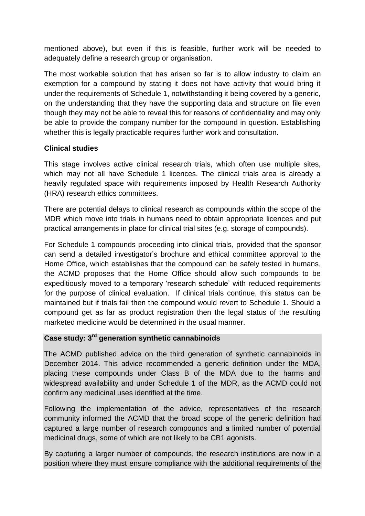mentioned above), but even if this is feasible, further work will be needed to adequately define a research group or organisation.

The most workable solution that has arisen so far is to allow industry to claim an exemption for a compound by stating it does not have activity that would bring it under the requirements of Schedule 1, notwithstanding it being covered by a generic, on the understanding that they have the supporting data and structure on file even though they may not be able to reveal this for reasons of confidentiality and may only be able to provide the company number for the compound in question. Establishing whether this is legally practicable requires further work and consultation.

### **Clinical studies**

This stage involves active clinical research trials, which often use multiple sites, which may not all have Schedule 1 licences. The clinical trials area is already a heavily regulated space with requirements imposed by Health Research Authority (HRA) research ethics committees.

There are potential delays to clinical research as compounds within the scope of the MDR which move into trials in humans need to obtain appropriate licences and put practical arrangements in place for clinical trial sites (e.g. storage of compounds).

For Schedule 1 compounds proceeding into clinical trials, provided that the sponsor can send a detailed investigator's brochure and ethical committee approval to the Home Office, which establishes that the compound can be safely tested in humans, the ACMD proposes that the Home Office should allow such compounds to be expeditiously moved to a temporary 'research schedule' with reduced requirements for the purpose of clinical evaluation. If clinical trials continue, this status can be maintained but if trials fail then the compound would revert to Schedule 1. Should a compound get as far as product registration then the legal status of the resulting marketed medicine would be determined in the usual manner.

#### **Case study: 3rd generation synthetic cannabinoids**

The ACMD published advice on the third generation of synthetic cannabinoids in December 2014. This advice recommended a generic definition under the MDA, placing these compounds under Class B of the MDA due to the harms and widespread availability and under Schedule 1 of the MDR, as the ACMD could not confirm any medicinal uses identified at the time.

Following the implementation of the advice, representatives of the research community informed the ACMD that the broad scope of the generic definition had captured a large number of research compounds and a limited number of potential medicinal drugs, some of which are not likely to be CB1 agonists.

By capturing a larger number of compounds, the research institutions are now in a position where they must ensure compliance with the additional requirements of the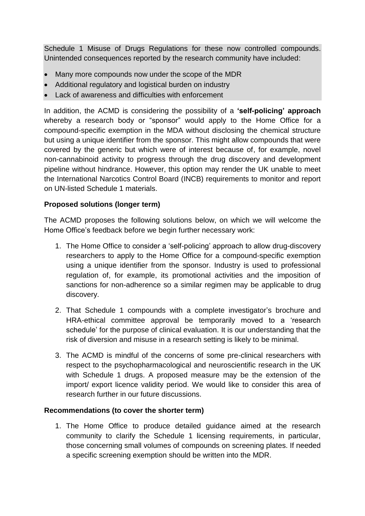Schedule 1 Misuse of Drugs Regulations for these now controlled compounds. Unintended consequences reported by the research community have included:

- Many more compounds now under the scope of the MDR
- Additional regulatory and logistical burden on industry
- $\blacksquare$  Lack of awareness and difficulties with enforcement

In addition, the ACMD is considering the possibility of a **'self-policing' approach** whereby a research body or "sponsor" would apply to the Home Office for a compound-specific exemption in the MDA without disclosing the chemical structure but using a unique identifier from the sponsor. This might allow compounds that were covered by the generic but which were of interest because of, for example, novel non-cannabinoid activity to progress through the drug discovery and development pipeline without hindrance. However, this option may render the UK unable to meet the International Narcotics Control Board (INCB) requirements to monitor and report on UN-listed Schedule 1 materials.

# **Proposed solutions (longer term)**

The ACMD proposes the following solutions below, on which we will welcome the Home Office's feedback before we begin further necessary work:

- 1. The Home Office to consider a 'self-policing' approach to allow drug-discovery researchers to apply to the Home Office for a compound-specific exemption using a unique identifier from the sponsor. Industry is used to professional regulation of, for example, its promotional activities and the imposition of sanctions for non-adherence so a similar regimen may be applicable to drug discovery.
- 2. That Schedule 1 compounds with a complete investigator's brochure and HRA-ethical committee approval be temporarily moved to a 'research schedule' for the purpose of clinical evaluation. It is our understanding that the risk of diversion and misuse in a research setting is likely to be minimal.
- 3. The ACMD is mindful of the concerns of some pre-clinical researchers with respect to the psychopharmacological and neuroscientific research in the UK with Schedule 1 drugs. A proposed measure may be the extension of the import/ export licence validity period. We would like to consider this area of research further in our future discussions.

# **Recommendations (to cover the shorter term)**

1. The Home Office to produce detailed guidance aimed at the research community to clarify the Schedule 1 licensing requirements, in particular, those concerning small volumes of compounds on screening plates. If needed a specific screening exemption should be written into the MDR.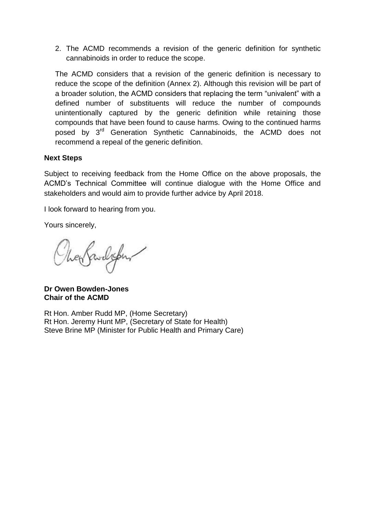2. The ACMD recommends a revision of the generic definition for synthetic cannabinoids in order to reduce the scope.

The ACMD considers that a revision of the generic definition is necessary to reduce the scope of the definition (Annex 2). Although this revision will be part of a broader solution, the ACMD considers that replacing the term "univalent" with a defined number of substituents will reduce the number of compounds unintentionally captured by the generic definition while retaining those compounds that have been found to cause harms. Owing to the continued harms posed by 3<sup>rd</sup> Generation Synthetic Cannabinoids, the ACMD does not recommend a repeal of the generic definition.

# **Next Steps**

Subject to receiving feedback from the Home Office on the above proposals, the ACMD's Technical Committee will continue dialogue with the Home Office and stakeholders and would aim to provide further advice by April 2018.

I look forward to hearing from you.

Yours sincerely,

enfandigen

**Dr Owen Bowden-Jones Chair of the ACMD**

Rt Hon. Amber Rudd MP, (Home Secretary) Rt Hon. Jeremy Hunt MP, (Secretary of State for Health) Steve Brine MP (Minister for Public Health and Primary Care)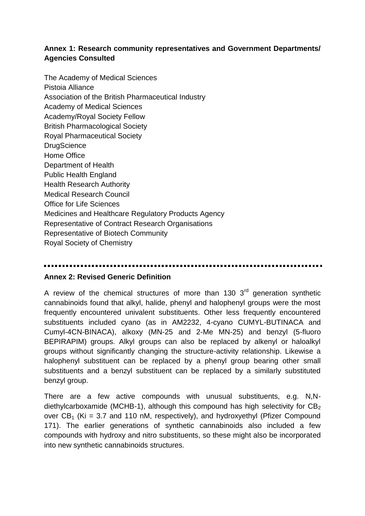# **Annex 1: Research community representatives and Government Departments/ Agencies Consulted**

The Academy of Medical Sciences Pistoia Alliance Association of the British Pharmaceutical Industry Academy of Medical Sciences Academy/Royal Society Fellow British Pharmacological Society Royal Pharmaceutical Society **DrugScience** Home Office Department of Health Public Health England Health Research Authority Medical Research Council Office for Life Sciences Medicines and Healthcare Regulatory Products Agency Representative of Contract Research Organisations Representative of Biotech Community Royal Society of Chemistry

#### **Annex 2: Revised Generic Definition**

A review of the chemical structures of more than 130  $3<sup>rd</sup>$  generation synthetic cannabinoids found that alkyl, halide, phenyl and halophenyl groups were the most frequently encountered univalent substituents. Other less frequently encountered substituents included cyano (as in AM2232, 4-cyano CUMYL-BUTINACA and Cumyl-4CN-BINACA), alkoxy (MN-25 and 2-Me MN-25) and benzyl (5-fluoro BEPIRAPIM) groups. Alkyl groups can also be replaced by alkenyl or haloalkyl groups without significantly changing the structure-activity relationship. Likewise a halophenyl substituent can be replaced by a phenyl group bearing other small substituents and a benzyl substituent can be replaced by a similarly substituted benzyl group.

There are a few active compounds with unusual substituents, e.g. N,Ndiethylcarboxamide (MCHB-1), although this compound has high selectivity for  $CB<sub>2</sub>$ over  $CB_1$  (Ki = 3.7 and 110 nM, respectively), and hydroxyethyl (Pfizer Compound 171). The earlier generations of synthetic cannabinoids also included a few compounds with hydroxy and nitro substituents, so these might also be incorporated into new synthetic cannabinoids structures.